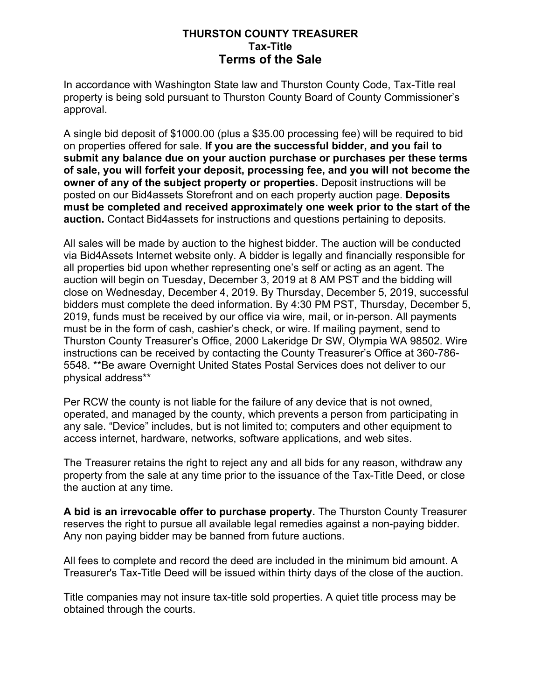### **THURSTON COUNTY TREASURER Tax-Title Terms of the Sale**

In accordance with Washington State law and Thurston County Code, Tax-Title real property is being sold pursuant to Thurston County Board of County Commissioner's approval.

A single bid deposit of \$1000.00 (plus a \$35.00 processing fee) will be required to bid on properties offered for sale. **If you are the successful bidder, and you fail to submit any balance due on your auction purchase or purchases per these terms of sale, you will forfeit your deposit, processing fee, and you will not become the owner of any of the subject property or properties.** Deposit instructions will be posted on our Bid4assets Storefront and on each property auction page. **Deposits must be completed and received approximately one week prior to the start of the auction.** Contact Bid4assets for instructions and questions pertaining to deposits.

All sales will be made by auction to the highest bidder. The auction will be conducted via Bid4Assets Internet website only. A bidder is legally and financially responsible for all properties bid upon whether representing one's self or acting as an agent. The auction will begin on Tuesday, December 3, 2019 at 8 AM PST and the bidding will close on Wednesday, December 4, 2019. By Thursday, December 5, 2019, successful bidders must complete the deed information. By 4:30 PM PST, Thursday, December 5, 2019, funds must be received by our office via wire, mail, or in-person. All payments must be in the form of cash, cashier's check, or wire. If mailing payment, send to Thurston County Treasurer's Office, 2000 Lakeridge Dr SW, Olympia WA 98502. Wire instructions can be received by contacting the County Treasurer's Office at 360-786- 5548. \*\*Be aware Overnight United States Postal Services does not deliver to our physical address\*\*

Per RCW the county is not liable for the failure of any device that is not owned, operated, and managed by the county, which prevents a person from participating in any sale. "Device" includes, but is not limited to; computers and other equipment to access internet, hardware, networks, software applications, and web sites.

The Treasurer retains the right to reject any and all bids for any reason, withdraw any property from the sale at any time prior to the issuance of the Tax-Title Deed, or close the auction at any time.

**A bid is an irrevocable offer to purchase property.** The Thurston County Treasurer reserves the right to pursue all available legal remedies against a non-paying bidder. Any non paying bidder may be banned from future auctions.

All fees to complete and record the deed are included in the minimum bid amount. A Treasurer's Tax-Title Deed will be issued within thirty days of the close of the auction.

Title companies may not insure tax-title sold properties. A quiet title process may be obtained through the courts.